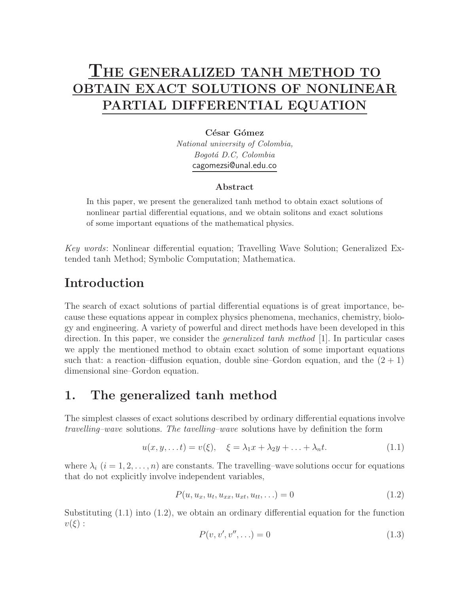# **THE GENERALIZED TANH METHOD TO OBTAIN EXACT SOLUTIONS OF NONLINEAR PARTIAL DIFFERENTIAL EQUATION**

#### César Gómez

National university of Colombia, Bogotá D.C, Colombia cagomezsi@unal.edu.co

#### **Abstract**

In this paper, we present the generalized tanh method to obtain exact solutions of nonlinear partial differential equations, and we obtain solitons and exact solutions of some important equations of the mathematical physics.

*Key words*: Nonlinear differential equation; Travelling Wave Solution; Generalized Extended tanh Method; Symbolic Computation; Mathematica.

# **Introduction**

The search of exact solutions of partial differential equations is of great importance, because these equations appear in complex physics phenomena, mechanics, chemistry, biology and engineering. A variety of powerful and direct methods have been developed in this direction. In this paper, we consider the *generalized tanh method* [1]. In particular cases we apply the mentioned method to obtain exact solution of some important equations such that: a reaction–diffusion equation, double sine–Gordon equation, and the  $(2 + 1)$ dimensional sine–Gordon equation.

# **1. The generalized tanh method**

The simplest classes of exact solutions described by ordinary differential equations involve *travelling–wave* solutions. *The tavelling–wave* solutions have by definition the form

$$
u(x, y, \dots t) = v(\xi), \quad \xi = \lambda_1 x + \lambda_2 y + \dots + \lambda_n t. \tag{1.1}
$$

where  $\lambda_i$   $(i = 1, 2, \ldots, n)$  are constants. The travelling–wave solutions occur for equations that do not explicitly involve independent variables,

$$
P(u, u_x, u_t, u_{xx}, u_{xt}, u_{tt}, \ldots) = 0
$$
\n(1.2)

Substituting  $(1.1)$  into  $(1.2)$ , we obtain an ordinary differential equation for the function  $v(\xi):$ 

$$
P(v, v', v'', \ldots) = 0 \tag{1.3}
$$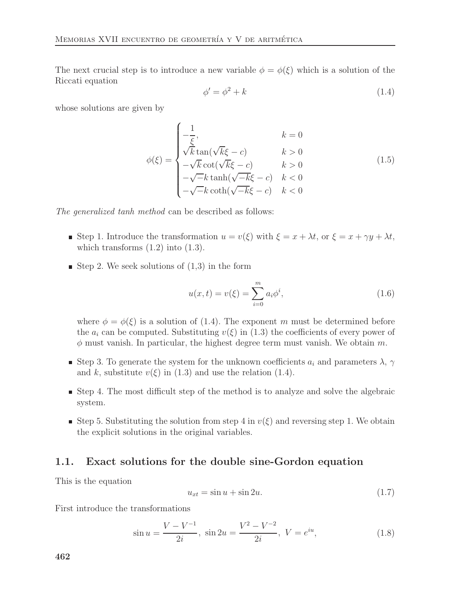The next crucial step is to introduce a new variable  $\phi = \phi(\xi)$  which is a solution of the Riccati equation

$$
\phi' = \phi^2 + k \tag{1.4}
$$

whose solutions are given by

$$
\phi(\xi) = \begin{cases}\n-\frac{1}{\xi}, & k = 0 \\
\sqrt{k} \tan(\sqrt{k}\xi - c) & k > 0 \\
-\sqrt{k} \cot(\sqrt{k}\xi - c) & k > 0 \\
-\sqrt{-k} \tanh(\sqrt{-k}\xi - c) & k < 0 \\
-\sqrt{-k} \coth(\sqrt{-k}\xi - c) & k < 0\n\end{cases}
$$
(1.5)

*The generalized tanh method* can be described as follows:

- Step 1. Introduce the transformation  $u = v(\xi)$  with  $\xi = x + \lambda t$ , or  $\xi = x + \gamma y + \lambda t$ , which transforms  $(1.2)$  into  $(1.3)$ .
- Step 2. We seek solutions of  $(1,3)$  in the form

$$
u(x,t) = v(\xi) = \sum_{i=0}^{m} a_i \phi^i,
$$
\n(1.6)

where  $\phi = \phi(\xi)$  is a solution of (1.4). The exponent m must be determined before the  $a_i$  can be computed. Substituting  $v(\xi)$  in (1.3) the coefficients of every power of  $\phi$  must vanish. In particular, the highest degree term must vanish. We obtain m.

- Step 3. To generate the system for the unknown coefficients  $a_i$  and parameters  $\lambda$ ,  $\gamma$ and k, substitute  $v(\xi)$  in (1.3) and use the relation (1.4).
- Step 4. The most difficult step of the method is to analyze and solve the algebraic system.
- Step 5. Substituting the solution from step 4 in  $v(\xi)$  and reversing step 1. We obtain the explicit solutions in the original variables.

#### **1.1. Exact solutions for the double sine-Gordon equation**

This is the equation

$$
u_{xt} = \sin u + \sin 2u. \tag{1.7}
$$

First introduce the transformations

$$
\sin u = \frac{V - V^{-1}}{2i}, \quad \sin 2u = \frac{V^2 - V^{-2}}{2i}, \quad V = e^{iu}, \tag{1.8}
$$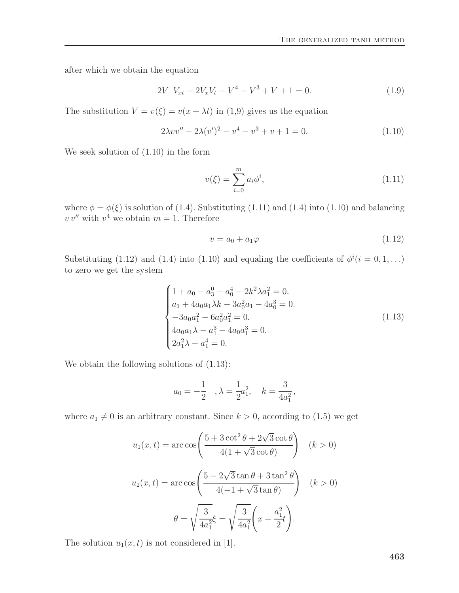after which we obtain the equation

$$
2V V_{xt} - 2V_x V_t - V^4 - V^3 + V + 1 = 0.
$$
\n(1.9)

The substitution  $V = v(\xi) = v(x + \lambda t)$  in (1,9) gives us the equation

$$
2\lambda vv'' - 2\lambda (v')^{2} - v^{4} - v^{3} + v + 1 = 0.
$$
\n(1.10)

We seek solution of (1.10) in the form

$$
v(\xi) = \sum_{i=0}^{m} a_i \phi^i,
$$
\n(1.11)

where  $\phi = \phi(\xi)$  is solution of (1.4). Substituting (1.11) and (1.4) into (1.10) and balancing  $v v''$  with  $v^4$  we obtain  $m = 1$ . Therefore

$$
v = a_0 + a_1 \varphi \tag{1.12}
$$

Substituting (1.12) and (1.4) into (1.10) and equaling the coefficients of  $\phi^{i}(i=0,1,...)$ to zero we get the system

$$
\begin{cases}\n1 + a_0 - a_3^0 - a_0^4 - 2k^2 \lambda a_1^2 = 0. \\
a_1 + 4a_0 a_1 \lambda k - 3a_0^2 a_1 - 4a_0^3 = 0. \\
-3a_0 a_1^2 - 6a_0^2 a_1^2 = 0. \\
4a_0 a_1 \lambda - a_1^3 - 4a_0 a_1^3 = 0. \\
2a_1^2 \lambda - a_1^4 = 0.\n\end{cases}
$$
\n(1.13)

We obtain the following solutions of  $(1.13)$ :

$$
a_0 = -\frac{1}{2}
$$
,  $\lambda = \frac{1}{2}a_1^2$ ,  $k = \frac{3}{4a_1^2}$ ,

where  $a_1 \neq 0$  is an arbitrary constant. Since  $k > 0$ , according to (1.5) we get

$$
u_1(x,t) = \arccos\left(\frac{5 + 3\cot^2\theta + 2\sqrt{3}\cot\theta}{4(1 + \sqrt{3}\cot\theta)}\right) \quad (k > 0)
$$

$$
u_2(x,t) = \arccos\left(\frac{5 - 2\sqrt{3}\tan\theta + 3\tan^2\theta}{4(-1 + \sqrt{3}\tan\theta)}\right) \quad (k > 0)
$$

$$
\theta = \sqrt{\frac{3}{4a_1^2}}\xi = \sqrt{\frac{3}{4a_1^2}}\left(x + \frac{a_1^2}{2}t\right).
$$

The solution  $u_1(x, t)$  is not considered in [1].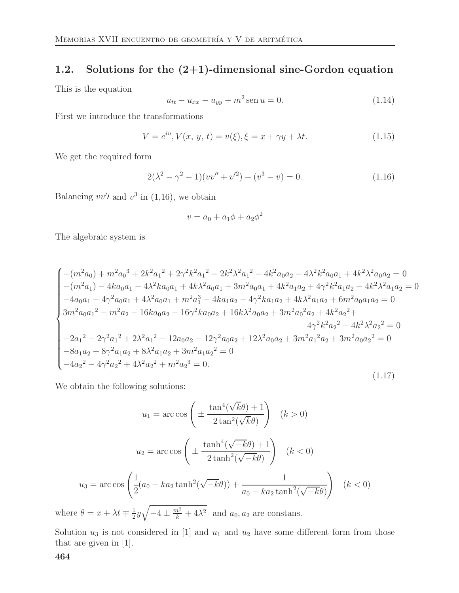### **1.2. Solutions for the (2+1)-dimensional sine-Gordon equation**

This is the equation

$$
u_{tt} - u_{xx} - u_{yy} + m^2 \operatorname{sen} u = 0. \tag{1.14}
$$

First we introduce the transformations

$$
V = e^{iu}, V(x, y, t) = v(\xi), \xi = x + \gamma y + \lambda t.
$$
 (1.15)

We get the required form

$$
2(\lambda^2 - \gamma^2 - 1)(vv'' + v'^2) + (v^3 - v) = 0.
$$
 (1.16)

Balancing  $vv'$  and  $v^3$  in (1,16), we obtain

$$
v = a_0 + a_1\phi + a_2\phi^2
$$

The algebraic system is

$$
\begin{cases}\n-(m^2a_0) + m^2a_0^3 + 2k^2a_1^2 + 2\gamma^2k^2a_1^2 - 2k^2\lambda^2a_1^2 - 4k^2a_0a_2 - 4\lambda^2k^2a_0a_1 + 4k^2\lambda^2a_0a_2 = 0 \\
-(m^2a_1) - 4ka_0a_1 - 4\lambda^2ka_0a_1 + 4k\lambda^2a_0a_1 + 3m^2a_0a_1 + 4k^2a_1a_2 + 4\gamma^2k^2a_1a_2 - 4k^2\lambda^2a_1a_2 = 0 \\
-4a_0a_1 - 4\gamma^2a_0a_1 + 4\lambda^2a_0a_1 + m^2a_1^3 - 4ka_1a_2 - 4\gamma^2ka_1a_2 + 4k\lambda^2a_1a_2 + 6m^2a_0a_1a_2 = 0 \\
3m^2a_0a_1^2 - m^2a_2 - 16ka_0a_2 - 16\gamma^2ka_0a_2 + 16k\lambda^2a_0a_2 + 3m^2a_0^2a_2 + 4k^2a_2^2 + 4\gamma^2k^2a_2^2 - 4k^2\lambda^2a_2^2 = 0 \\
-2a_1^2 - 2\gamma^2a_1^2 + 2\lambda^2a_1^2 - 12a_0a_2 - 12\gamma^2a_0a_2 + 12\lambda^2a_0a_2 + 3m^2a_1^2a_2 + 3m^2a_0a_2^2 = 0 \\
-8a_1a_2 - 8\gamma^2a_1a_2 + 8\lambda^2a_1a_2 + 3m^2a_1a_2^2 = 0 \\
-4a_2^2 - 4\gamma^2a_2^2 + 4\lambda^2a_2^2 + m^2a_2^3 = 0.\n\end{cases}
$$
\n(1.17)

We obtain the following solutions:

$$
u_1 = \arccos\left(\pm \frac{\tan^4(\sqrt{k}\theta) + 1}{2\tan^2(\sqrt{k}\theta)}\right) \quad (k > 0)
$$

$$
u_2 = \arccos\left(\pm \frac{\tanh^4(\sqrt{-k}\theta) + 1}{2\tanh^2(\sqrt{-k}\theta)}\right) \quad (k < 0)
$$

$$
u_3 = \arccos\left(\frac{1}{2}(a_0 - ka_2\tanh^2(\sqrt{-k}\theta)) + \frac{1}{a_0 - ka_2\tanh^2(\sqrt{-k}\theta)}\right) \quad (k < 0)
$$

where  $\theta = x + \lambda t \mp \frac{1}{2}y$  $\sqrt{-4 \pm \frac{m^2}{k} + 4\lambda^2}$  and  $a_0, a_2$  are constans.

Solution  $u_3$  is not considered in [1] and  $u_1$  and  $u_2$  have some different form from those that are given in [1].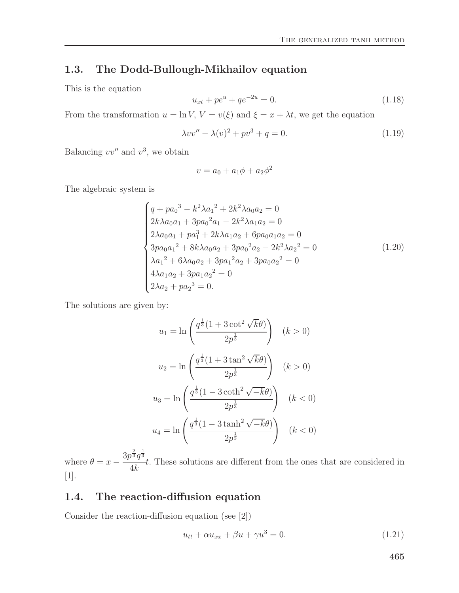### **1.3. The Dodd-Bullough-Mikhailov equation**

This is the equation

$$
u_{xt} + pe^u + qe^{-2u} = 0.
$$
\n(1.18)

From the transformation  $u = \ln V$ ,  $V = v(\xi)$  and  $\xi = x + \lambda t$ , we get the equation

$$
\lambda vv'' - \lambda(v)^2 + pv^3 + q = 0.
$$
 (1.19)

Balancing  $vv''$  and  $v^3$ , we obtain

$$
v = a_0 + a_1\phi + a_2\phi^2
$$

The algebraic system is

$$
\begin{cases}\n q + p a_0^3 - k^2 \lambda a_1^2 + 2k^2 \lambda a_0 a_2 = 0 \\
2k \lambda a_0 a_1 + 3p a_0^2 a_1 - 2k^2 \lambda a_1 a_2 = 0 \\
2\lambda a_0 a_1 + p a_1^3 + 2k \lambda a_1 a_2 + 6p a_0 a_1 a_2 = 0 \\
3p a_0 a_1^2 + 8k \lambda a_0 a_2 + 3p a_0^2 a_2 - 2k^2 \lambda a_2^2 = 0 \\
\lambda a_1^2 + 6\lambda a_0 a_2 + 3p a_1^2 a_2 + 3p a_0 a_2^2 = 0 \\
4\lambda a_1 a_2 + 3p a_1 a_2^2 = 0 \\
2\lambda a_2 + p a_2^3 = 0.\n\end{cases}
$$
\n(1.20)

The solutions are given by:

$$
u_1 = \ln\left(\frac{q^{\frac{1}{3}}(1+3\cot^2\sqrt{k}\theta)}{2p^{\frac{1}{3}}}\right) \quad (k > 0)
$$

$$
u_2 = \ln\left(\frac{q^{\frac{1}{3}}(1+3\tan^2\sqrt{k}\theta)}{2p^{\frac{1}{3}}}\right) \quad (k > 0)
$$

$$
u_3 = \ln\left(\frac{q^{\frac{1}{3}}(1-3\coth^2\sqrt{-k}\theta)}{2p^{\frac{1}{3}}}\right) \quad (k < 0)
$$

$$
u_4 = \ln\left(\frac{q^{\frac{1}{3}}(1-3\tanh^2\sqrt{-k}\theta)}{2p^{\frac{1}{3}}}\right) \quad (k < 0)
$$

where  $\theta = x - \frac{3p^{\frac{2}{3}}q^{\frac{1}{3}}}{4k}$ . These solutions are different from the ones that are considered in [1].

### **1.4. The reaction-diffusion equation**

Consider the reaction-diffusion equation (see [2])

$$
u_{tt} + \alpha u_{xx} + \beta u + \gamma u^3 = 0.
$$
\n(1.21)